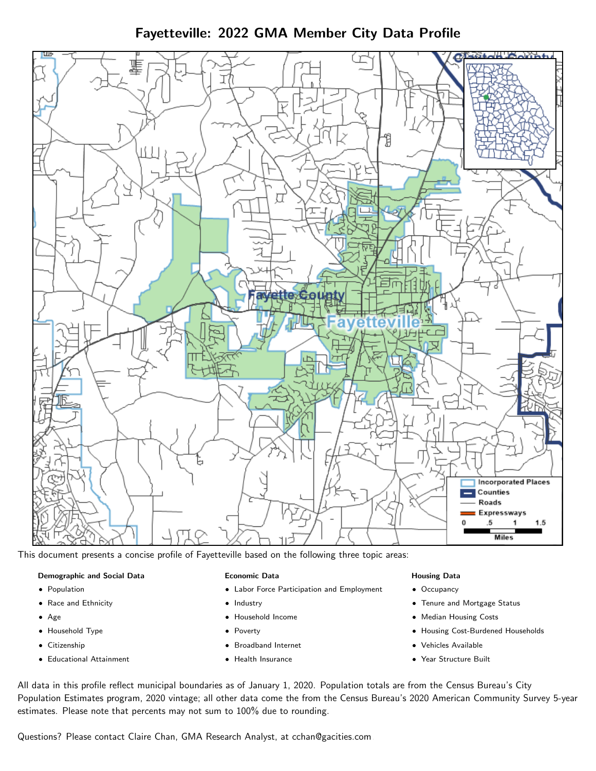Fayetteville: 2022 GMA Member City Data Profile



This document presents a concise profile of Fayetteville based on the following three topic areas:

#### Demographic and Social Data

- **•** Population
- Race and Ethnicity
- Age
- Household Type
- **Citizenship**
- Educational Attainment

#### Economic Data

- Labor Force Participation and Employment
- Industry
- Household Income
- Poverty
- Broadband Internet
- Health Insurance

#### Housing Data

- Occupancy
- Tenure and Mortgage Status
- Median Housing Costs
- Housing Cost-Burdened Households
- Vehicles Available
- Year Structure Built

All data in this profile reflect municipal boundaries as of January 1, 2020. Population totals are from the Census Bureau's City Population Estimates program, 2020 vintage; all other data come the from the Census Bureau's 2020 American Community Survey 5-year estimates. Please note that percents may not sum to 100% due to rounding.

Questions? Please contact Claire Chan, GMA Research Analyst, at [cchan@gacities.com.](mailto:cchan@gacities.com)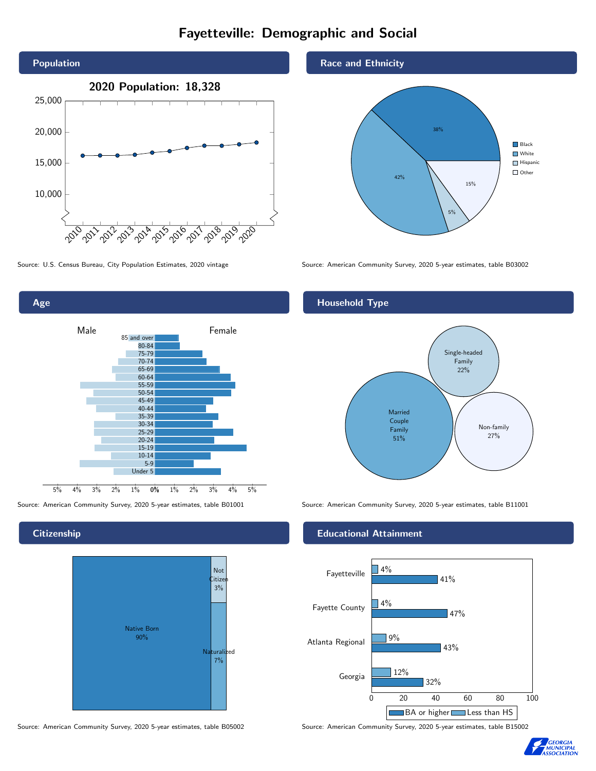# Fayetteville: Demographic and Social



Age 0% 1% 2% 3% 4% 5% Male **Female** Female 5% 4% 3% 2% 1% 85 and over 80-84 75-79 70-74 65-69 60-64 55-59 50-54 45-49 40-44 35-39 30-34 25-29 20-24 15-19 10-14 5-9 Under 5

**Citizenship** 



Source: American Community Survey, 2020 5-year estimates, table B05002 Source: American Community Survey, 2020 5-year estimates, table B15002

Race and Ethnicity



Source: U.S. Census Bureau, City Population Estimates, 2020 vintage Source: American Community Survey, 2020 5-year estimates, table B03002

## Household Type



Source: American Community Survey, 2020 5-year estimates, table B01001 Source: American Community Survey, 2020 5-year estimates, table B11001

#### Educational Attainment



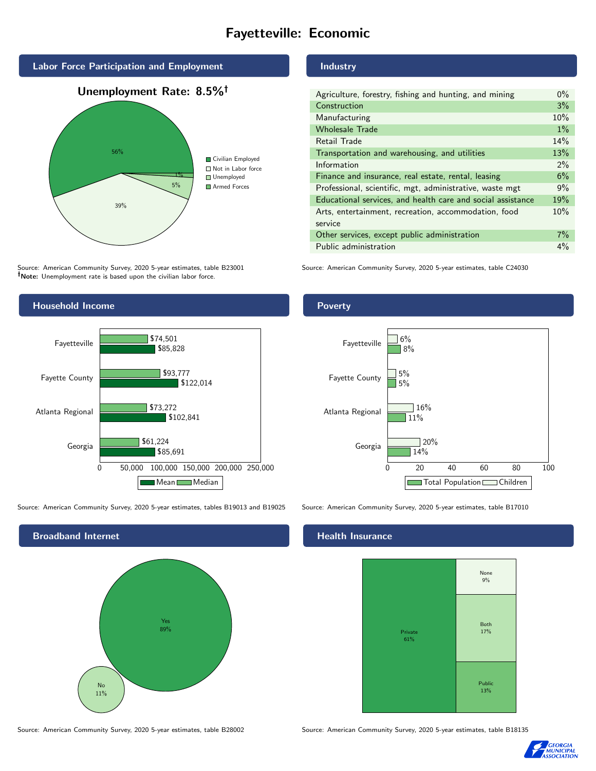# Fayetteville: Economic



Source: American Community Survey, 2020 5-year estimates, table B23001 Note: Unemployment rate is based upon the civilian labor force.



Source: American Community Survey, 2020 5-year estimates, tables B19013 and B19025 Source: American Community Survey, 2020 5-year estimates, table B17010



Source: American Community Survey, 2020 5-year estimates, table B28002 Source: American Community Survey, 2020 5-year estimates, table B18135

## Industry

| Agriculture, forestry, fishing and hunting, and mining      | $0\%$ |
|-------------------------------------------------------------|-------|
| Construction                                                | 3%    |
| Manufacturing                                               | 10%   |
| <b>Wholesale Trade</b>                                      | $1\%$ |
| Retail Trade                                                | 14%   |
| Transportation and warehousing, and utilities               | 13%   |
| Information                                                 | $2\%$ |
| Finance and insurance, real estate, rental, leasing         | 6%    |
| Professional, scientific, mgt, administrative, waste mgt    | 9%    |
| Educational services, and health care and social assistance | 19%   |
| Arts, entertainment, recreation, accommodation, food        | 10%   |
| service                                                     |       |
| Other services, except public administration                | $7\%$ |
| Public administration                                       | $4\%$ |

Source: American Community Survey, 2020 5-year estimates, table C24030

# Poverty



#### Health Insurance